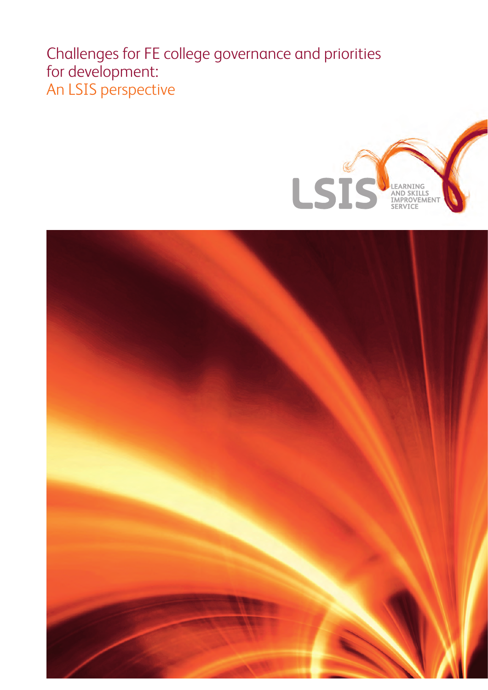## Challenges for FE college governance and priorities for development: An LSIS perspective



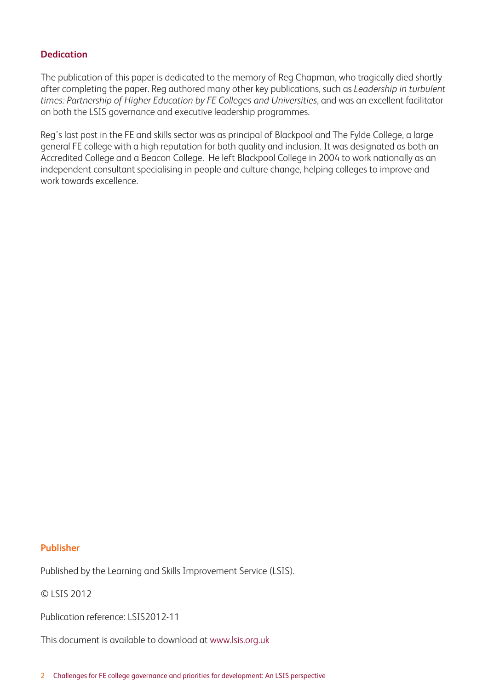### **Dedication**

The publication of this paper is dedicated to the memory of Reg Chapman, who tragically died shortly after completing the paper. Reg authored many other key publications, such as *Leadership in turbulent times: Partnership of Higher Education by FE Colleges and Universities*, and was an excellent facilitator on both the LSIS governance and executive leadership programmes.

Reg's last post in the FE and skills sector was as principal of Blackpool and The Fylde College, a large general FE college with a high reputation for both quality and inclusion. It was designated as both an Accredited College and a Beacon College. He left Blackpool College in 2004 to work nationally as an independent consultant specialising in people and culture change, helping colleges to improve and work towards excellence.

#### **Publisher**

Published by the Learning and Skills Improvement Service (LSIS).

© LSIS 2012

Publication reference: LSIS2012-11

This document is available to download at www.lsis.org.uk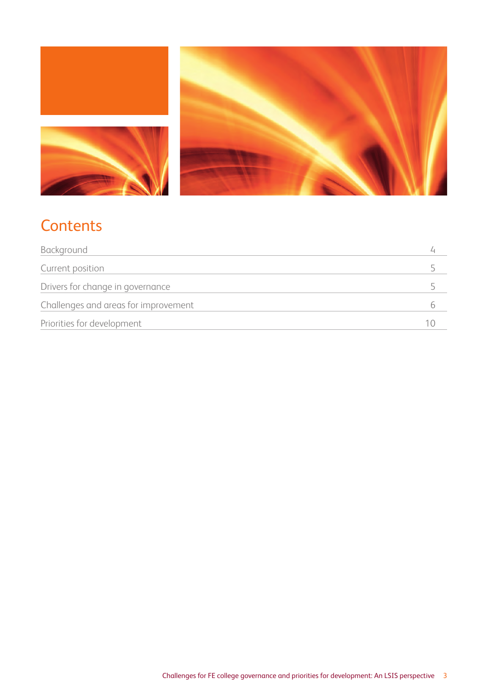

# **Contents**

| Background                           |  |
|--------------------------------------|--|
| Current position                     |  |
| Drivers for change in governance     |  |
| Challenges and areas for improvement |  |
| Priorities for development           |  |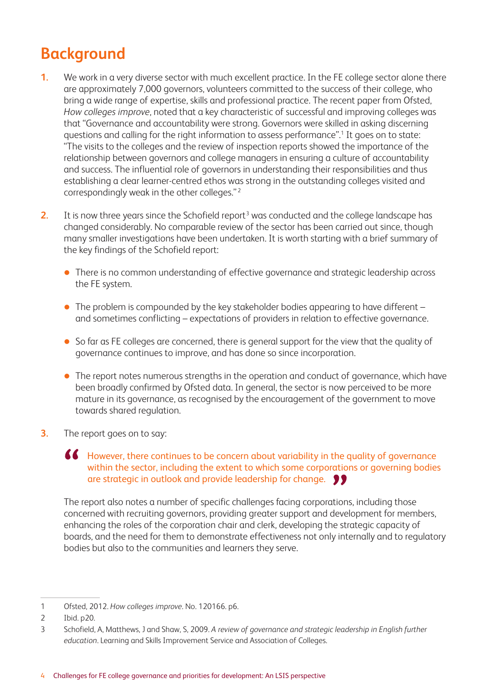# **Background**

- **1.** We work in a very diverse sector with much excellent practice. In the FE college sector alone there are approximately 7,000 governors, volunteers committed to the success of their college, who bring a wide range of expertise, skills and professional practice. The recent paper from Ofsted, *How colleges improve*, noted that a key characteristic of successful and improving colleges was that "Governance and accountability were strong. Governors were skilled in asking discerning questions and calling for the right information to assess performance".<sup>1</sup> It goes on to state: "The visits to the colleges and the review of inspection reports showed the importance of the relationship between governors and college managers in ensuring a culture of accountability and success. The influential role of governors in understanding their responsibilities and thus establishing a clear learner-centred ethos was strong in the outstanding colleges visited and correspondingly weak in the other colleges." <sup>2</sup>
- **2.** It is now three years since the Schofield report<sup>3</sup> was conducted and the college landscape has changed considerably. No comparable review of the sector has been carried out since, though many smaller investigations have been undertaken. It is worth starting with a brief summary of the key findings of the Schofield report:
	- There is no common understanding of effective governance and strategic leadership across the FE system.
	- $\bullet$  The problem is compounded by the key stakeholder bodies appearing to have different  $$ and sometimes conflicting – expectations of providers in relation to effective governance.
	- So far as FE colleges are concerned, there is general support for the view that the quality of governance continues to improve, and has done so since incorporation.
	- The report notes numerous strengths in the operation and conduct of governance, which have been broadly confirmed by Ofsted data. In general, the sector is now perceived to be more mature in its governance, as recognised by the encouragement of the government to move towards shared regulation.
- **3.** The report goes on to say:

### However, there continues to be concern about variability in the quality of governance within the sector, including the extent to which some corporations or governing bodies are strategic in outlook and provide leadership for change.

The report also notes a number of specific challenges facing corporations, including those concerned with recruiting governors, providing greater support and development for members, enhancing the roles of the corporation chair and clerk, developing the strategic capacity of boards, and the need for them to demonstrate effectiveness not only internally and to regulatory bodies but also to the communities and learners they serve.

<sup>1</sup> Ofsted, 2012. *How colleges improve*. No. 120166. p6.

<sup>2</sup> Ibid. p20.

<sup>3</sup> Schofield, A, Matthews, J and Shaw, S, 2009. *A review of governance and strategic leadership in English further education*. Learning and Skills Improvement Service and Association of Colleges.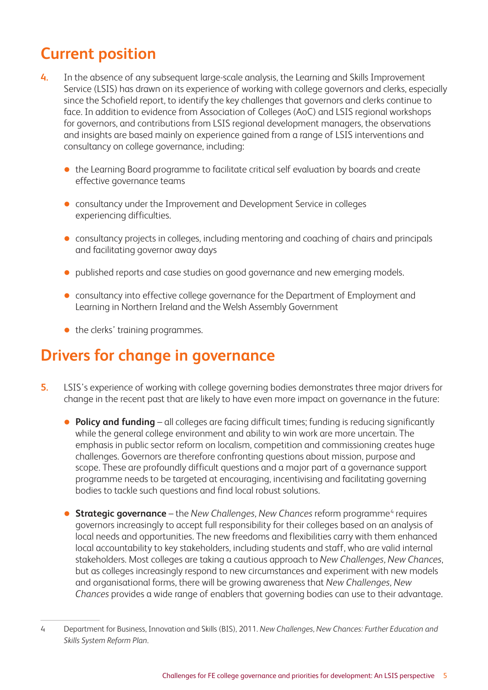# **Current position**

- **4.** In the absence of any subsequent large-scale analysis, the Learning and Skills Improvement Service (LSIS) has drawn on its experience of working with college governors and clerks, especially since the Schofield report, to identify the key challenges that governors and clerks continue to face. In addition to evidence from Association of Colleges (AoC) and LSIS regional workshops for governors, and contributions from LSIS regional development managers, the observations and insights are based mainly on experience gained from a range of LSIS interventions and consultancy on college governance, including:
	- the Learning Board programme to facilitate critical self evaluation by boards and create effective governance teams
	- consultancy under the Improvement and Development Service in colleges experiencing difficulties.
	- consultancy projects in colleges, including mentoring and coaching of chairs and principals and facilitating governor away days
	- published reports and case studies on good governance and new emerging models.
	- consultancy into effective college governance for the Department of Employment and Learning in Northern Ireland and the Welsh Assembly Government
	- $\bullet$  the clerks' training programmes.

### **Drivers for change in governance**

- **5.** LSIS's experience of working with college governing bodies demonstrates three major drivers for change in the recent past that are likely to have even more impact on governance in the future:
	- **Policy and funding** all colleges are facing difficult times; funding is reducing significantly while the general college environment and ability to win work are more uncertain. The emphasis in public sector reform on localism, competition and commissioning creates huge challenges. Governors are therefore confronting questions about mission, purpose and scope. These are profoundly difficult questions and a major part of a governance support programme needs to be targeted at encouraging, incentivising and facilitating governing bodies to tackle such questions and find local robust solutions.
	- **Strategic governance** the *New Challenges*, New Chances reform programme<sup>4</sup> requires governors increasingly to accept full responsibility for their colleges based on an analysis of local needs and opportunities. The new freedoms and flexibilities carry with them enhanced local accountability to key stakeholders, including students and staff, who are valid internal stakeholders. Most colleges are taking a cautious approach to *New Challenges, New Chances*, but as colleges increasingly respond to new circumstances and experiment with new models and organisational forms, there will be growing awareness that *New Challenges, New Chances* provides a wide range of enablers that governing bodies can use to their advantage.

<sup>4</sup> Department for Business, Innovation and Skills (BIS), 2011. *New Challenges, New Chances: Further Education and Skills System Reform Plan*.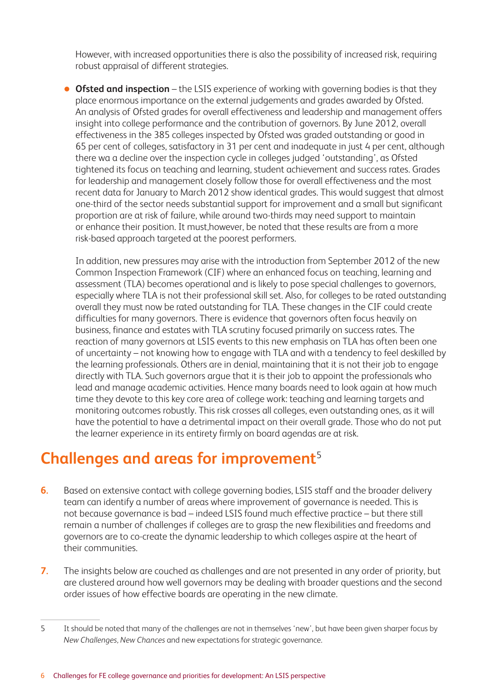However, with increased opportunities there is also the possibility of increased risk, requiring robust appraisal of different strategies.

**Ofsted and inspection** – the LSIS experience of working with governing bodies is that they place enormous importance on the external judgements and grades awarded by Ofsted. An analysis of Ofsted grades for overall effectiveness and leadership and management offers insight into college performance and the contribution of governors. By June 2012, overall effectiveness in the 385 colleges inspected by Ofsted was graded outstanding or good in 65 per cent of colleges, satisfactory in 31 per cent and inadequate in just 4 per cent, although there wa a decline over the inspection cycle in colleges judged 'outstanding', as Ofsted tightened its focus on teaching and learning, student achievement and success rates. Grades for leadership and management closely follow those for overall effectiveness and the most recent data for January to March 2012 show identical grades. This would suggest that almost one-third of the sector needs substantial support for improvement and a small but significant proportion are at risk of failure, while around two-thirds may need support to maintain or enhance their position. It must,however, be noted that these results are from a more risk-based approach targeted at the poorest performers.

In addition, new pressures may arise with the introduction from September 2012 of the new Common Inspection Framework (CIF) where an enhanced focus on teaching, learning and assessment (TLA) becomes operational and is likely to pose special challenges to governors, especially where TLA is not their professional skill set. Also, for colleges to be rated outstanding overall they must now be rated outstanding for TLA. These changes in the CIF could create difficulties for many governors. There is evidence that governors often focus heavily on business, finance and estates with TLA scrutiny focused primarily on success rates. The reaction of many governors at LSIS events to this new emphasis on TLA has often been one of uncertainty – not knowing how to engage with TLA and with a tendency to feel deskilled by the learning professionals. Others are in denial, maintaining that it is not their job to engage directly with TLA. Such governors argue that it is their job to appoint the professionals who lead and manage academic activities. Hence many boards need to look again at how much time they devote to this key core area of college work: teaching and learning targets and monitoring outcomes robustly. This risk crosses all colleges, even outstanding ones, as it will have the potential to have a detrimental impact on their overall grade. Those who do not put the learner experience in its entirety firmly on board agendas are at risk.

# **Challenges and areas for improvement**<sup>5</sup>

- **6.** Based on extensive contact with college governing bodies, LSIS staff and the broader delivery team can identify a number of areas where improvement of governance is needed. This is not because governance is bad – indeed LSIS found much effective practice – but there still remain a number of challenges if colleges are to grasp the new flexibilities and freedoms and governors are to co-create the dynamic leadership to which colleges aspire at the heart of their communities.
- **7.** The insights below are couched as challenges and are not presented in any order of priority, but are clustered around how well governors may be dealing with broader questions and the second order issues of how effective boards are operating in the new climate.

<sup>5</sup> It should be noted that many of the challenges are not in themselves 'new', but have been given sharper focus by *New Challenges, New Chances* and new expectations for strategic governance.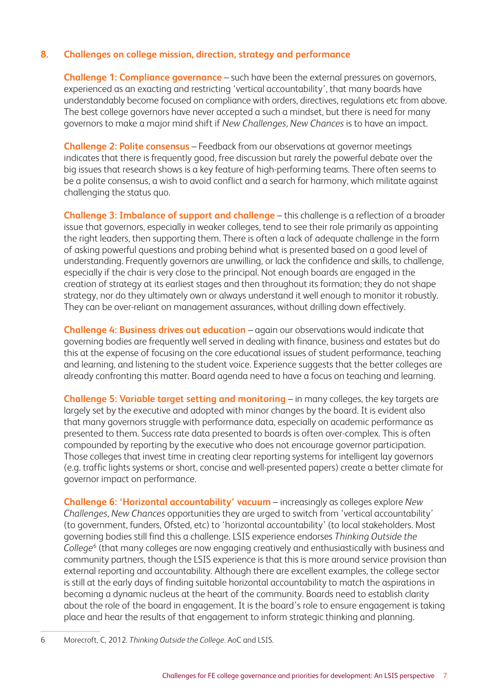### **8. Challenges on college mission, direction, strategy and performance**

**Challenge 1: Compliance governance** – such have been the external pressures on governors, experienced as an exacting and restricting 'vertical accountability', that many boards have understandably become focused on compliance with orders, directives, regulations etc from above. The best college governors have never accepted a such a mindset, but there is need for many governors to make a major mind shift if *New Challenges, New Chances* is to have an impact.

**Challenge 2: Polite consensus** – Feedback from our observations at governor meetings indicates that there is frequently good, free discussion but rarely the powerful debate over the big issues that research shows is a key feature of high-performing teams. There often seems to be a polite consensus, a wish to avoid conflict and a search for harmony, which militate against challenging the status quo.

**Challenge 3: Imbalance of support and challenge** – this challenge is a reflection of a broader issue that governors, especially in weaker colleges, tend to see their role primarily as appointing the right leaders, then supporting them. There is often a lack of adequate challenge in the form of asking powerful questions and probing behind what is presented based on a good level of understanding. Frequently governors are unwilling, or lack the confidence and skills, to challenge, especially if the chair is very close to the principal. Not enough boards are engaged in the creation of strategy at its earliest stages and then throughout its formation; they do not shape strategy, nor do they ultimately own or always understand it well enough to monitor it robustly. They can be over-reliant on management assurances, without drilling down effectively.

**Challenge 4: Business drives out education** – again our observations would indicate that governing bodies are frequently well served in dealing with finance, business and estates but do this at the expense of focusing on the core educational issues of student performance, teaching and learning, and listening to the student voice. Experience suggests that the better colleges are already confronting this matter. Board agenda need to have a focus on teaching and learning.

**Challenge 5: Variable target setting and monitoring** – in many colleges, the key targets are largely set by the executive and adopted with minor changes by the board. It is evident also that many governors struggle with performance data, especially on academic performance as presented to them. Success rate data presented to boards is often over-complex. This is often compounded by reporting by the executive who does not encourage governor participation. Those colleges that invest time in creating clear reporting systems for intelligent lay governors (e.g. traffic lights systems or short, concise and well-presented papers) create a better climate for governor impact on performance.

**Challenge 6: 'Horizontal accountability' vacuum** – increasingly as colleges explore *New Challenges, New Chances* opportunities they are urged to switch from 'vertical accountability' (to government, funders, Ofsted, etc) to 'horizontal accountability' (to local stakeholders. Most governing bodies still find this a challenge. LSIS experience endorses *Thinking Outside the College*<sup>6</sup> (that many colleges are now engaging creatively and enthusiastically with business and community partners, though the LSIS experience is that this is more around service provision than external reporting and accountability. Although there are excellent examples, the college sector is still at the early days of finding suitable horizontal accountability to match the aspirations in becoming a dynamic nucleus at the heart of the community. Boards need to establish clarity about the role of the board in engagement. It is the board's role to ensure engagement is taking place and hear the results of that engagement to inform strategic thinking and planning.

6 Morecroft, C, 2012. *Thinking Outside the College.* AoC and LSIS.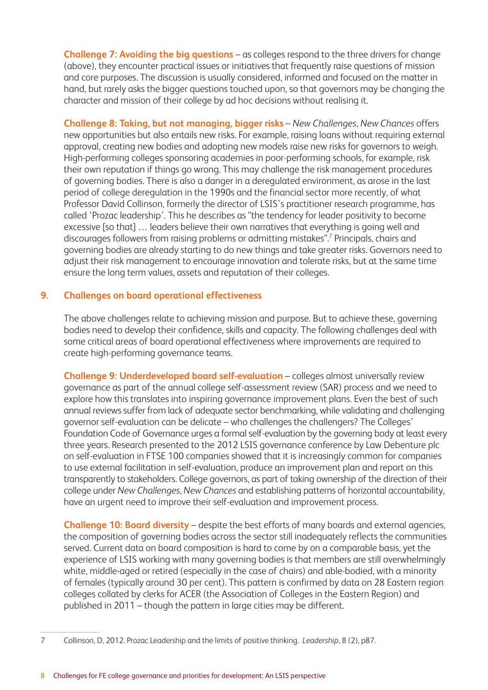**Challenge 7: Avoiding the big questions** – as colleges respond to the three drivers for change (above), they encounter practical issues or initiatives that frequently raise questions of mission and core purposes. The discussion is usually considered, informed and focused on the matter in hand, but rarely asks the bigger questions touched upon, so that governors may be changing the character and mission of their college by ad hoc decisions without realising it.

**Challenge 8: Taking, but not managing, bigger risks** – *New Challenges, New Chances* offers new opportunities but also entails new risks. For example, raising loans without requiring external approval, creating new bodies and adopting new models raise new risks for governors to weigh. High-performing colleges sponsoring academies in poor-performing schools, for example, risk their own reputation if things go wrong. This may challenge the risk management procedures of governing bodies. There is also a danger in a deregulated environment, as arose in the last period of college deregulation in the 1990s and the financial sector more recently, of what Professor David Collinson, formerly the director of LSIS's practitioner research programme, has called 'Prozac leadership'. This he describes as "the tendency for leader positivity to become excessive [so that] … leaders believe their own narratives that everything is going well and discourages followers from raising problems or admitting mistakes".7 Principals, chairs and governing bodies are already starting to do new things and take greater risks. Governors need to adjust their risk management to encourage innovation and tolerate risks, but at the same time ensure the long term values, assets and reputation of their colleges.

### **9. Challenges on board operational effectiveness**

The above challenges relate to achieving mission and purpose. But to achieve these, governing bodies need to develop their confidence, skills and capacity. The following challenges deal with some critical areas of board operational effectiveness where improvements are required to create high-performing governance teams.

**Challenge 9: Underdeveloped board self‑evaluation** – colleges almost universally review governance as part of the annual college self-assessment review (SAR) process and we need to explore how this translates into inspiring governance improvement plans. Even the best of such annual reviews suffer from lack of adequate sector benchmarking, while validating and challenging governor self-evaluation can be delicate – who challenges the challengers? The Colleges' Foundation Code of Governance urges a formal self-evaluation by the governing body at least every three years. Research presented to the 2012 LSIS governance conference by Law Debenture plc on self-evaluation in FTSE 100 companies showed that it is increasingly common for companies to use external facilitation in self-evaluation, produce an improvement plan and report on this transparently to stakeholders. College governors, as part of taking ownership of the direction of their college under *New Challenges, New Chances* and establishing patterns of horizontal accountability, have an urgent need to improve their self-evaluation and improvement process.

**Challenge 10: Board diversity** – despite the best efforts of many boards and external agencies, the composition of governing bodies across the sector still inadequately reflects the communities served. Current data on board composition is hard to come by on a comparable basis, yet the experience of LSIS working with many governing bodies is that members are still overwhelmingly white, middle-aged or retired (especially in the case of chairs) and able-bodied, with a minority of females (typically around 30 per cent). This pattern is confirmed by data on 28 Eastern region colleges collated by clerks for ACER (the Association of Colleges in the Eastern Region) and published in 2011 – though the pattern in large cities may be different.

<sup>7</sup> Collinson, D, 2012. Prozac Leadership and the limits of positive thinking. *Leadership*, 8 (2), p87.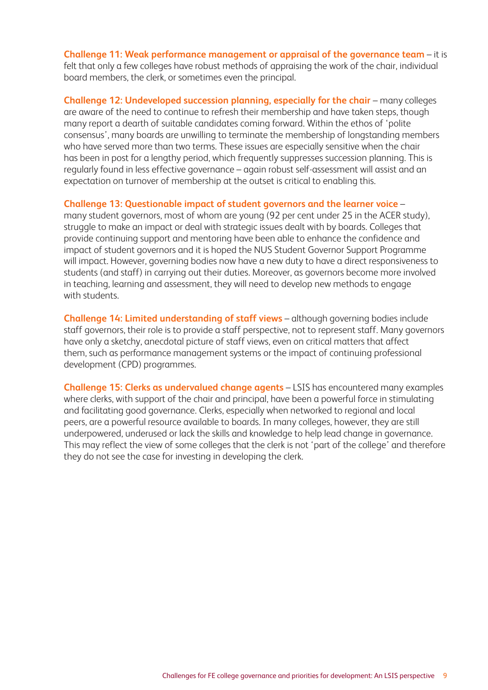**Challenge 11: Weak performance management or appraisal of the governance team** – it is felt that only a few colleges have robust methods of appraising the work of the chair, individual board members, the clerk, or sometimes even the principal.

**Challenge 12: Undeveloped succession planning, especially for the chair** – many colleges are aware of the need to continue to refresh their membership and have taken steps, though many report a dearth of suitable candidates coming forward. Within the ethos of 'polite consensus', many boards are unwilling to terminate the membership of longstanding members who have served more than two terms. These issues are especially sensitive when the chair has been in post for a lengthy period, which frequently suppresses succession planning. This is regularly found in less effective governance – again robust self-assessment will assist and an expectation on turnover of membership at the outset is critical to enabling this.

**Challenge 13: Questionable impact of student governors and the learner voice** –

many student governors, most of whom are young (92 per cent under 25 in the ACER study), struggle to make an impact or deal with strategic issues dealt with by boards. Colleges that provide continuing support and mentoring have been able to enhance the confidence and impact of student governors and it is hoped the NUS Student Governor Support Programme will impact. However, governing bodies now have a new duty to have a direct responsiveness to students (and staff) in carrying out their duties. Moreover, as governors become more involved in teaching, learning and assessment, they will need to develop new methods to engage with students.

**Challenge 14: Limited understanding of staff views** – although governing bodies include staff governors, their role is to provide a staff perspective, not to represent staff. Many governors have only a sketchy, anecdotal picture of staff views, even on critical matters that affect them, such as performance management systems or the impact of continuing professional development (CPD) programmes.

**Challenge 15: Clerks as undervalued change agents** – LSIS has encountered many examples where clerks, with support of the chair and principal, have been a powerful force in stimulating and facilitating good governance. Clerks, especially when networked to regional and local peers, are a powerful resource available to boards. In many colleges, however, they are still underpowered, underused or lack the skills and knowledge to help lead change in governance. This may reflect the view of some colleges that the clerk is not 'part of the college' and therefore they do not see the case for investing in developing the clerk.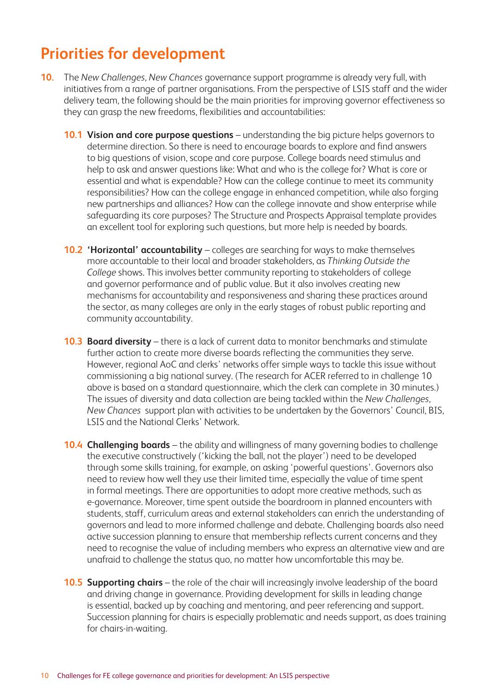# **Priorities for development**

- **10.** The *New Challenges, New Chances* governance support programme is already very full, with initiatives from a range of partner organisations. From the perspective of LSIS staff and the wider delivery team, the following should be the main priorities for improving governor effectiveness so they can grasp the new freedoms, flexibilities and accountabilities:
	- **10.1 Vision and core purpose questions** understanding the big picture helps governors to determine direction. So there is need to encourage boards to explore and find answers to big questions of vision, scope and core purpose. College boards need stimulus and help to ask and answer questions like: What and who is the college for? What is core or essential and what is expendable? How can the college continue to meet its community responsibilities? How can the college engage in enhanced competition, while also forging new partnerships and alliances? How can the college innovate and show enterprise while safeguarding its core purposes? The Structure and Prospects Appraisal template provides an excellent tool for exploring such questions, but more help is needed by boards.
	- **10.2 'Horizontal' accountability** colleges are searching for ways to make themselves more accountable to their local and broader stakeholders, as *Thinking Outside the College* shows. This involves better community reporting to stakeholders of college and governor performance and of public value. But it also involves creating new mechanisms for accountability and responsiveness and sharing these practices around the sector, as many colleges are only in the early stages of robust public reporting and community accountability.
	- **10.3 Board diversity** there is a lack of current data to monitor benchmarks and stimulate further action to create more diverse boards reflecting the communities they serve. However, regional AoC and clerks' networks offer simple ways to tackle this issue without commissioning a big national survey. (The research for ACER referred to in challenge 10 above is based on a standard questionnaire, which the clerk can complete in 30 minutes.) The issues of diversity and data collection are being tackled within the *New Challenges, New Chances* support plan with activities to be undertaken by the Governors' Council, BIS, LSIS and the National Clerks' Network.
	- **10.4 Challenging boards** the ability and willingness of many governing bodies to challenge the executive constructively ('kicking the ball, not the player') need to be developed through some skills training, for example, on asking 'powerful questions'. Governors also need to review how well they use their limited time, especially the value of time spent in formal meetings. There are opportunities to adopt more creative methods, such as e-governance. Moreover, time spent outside the boardroom in planned encounters with students, staff, curriculum areas and external stakeholders can enrich the understanding of governors and lead to more informed challenge and debate. Challenging boards also need active succession planning to ensure that membership reflects current concerns and they need to recognise the value of including members who express an alternative view and are unafraid to challenge the status quo, no matter how uncomfortable this may be.
	- **10.5 Supporting chairs** the role of the chair will increasingly involve leadership of the board and driving change in governance. Providing development for skills in leading change is essential, backed up by coaching and mentoring, and peer referencing and support. Succession planning for chairs is especially problematic and needs support, as does training for chairs-in-waiting.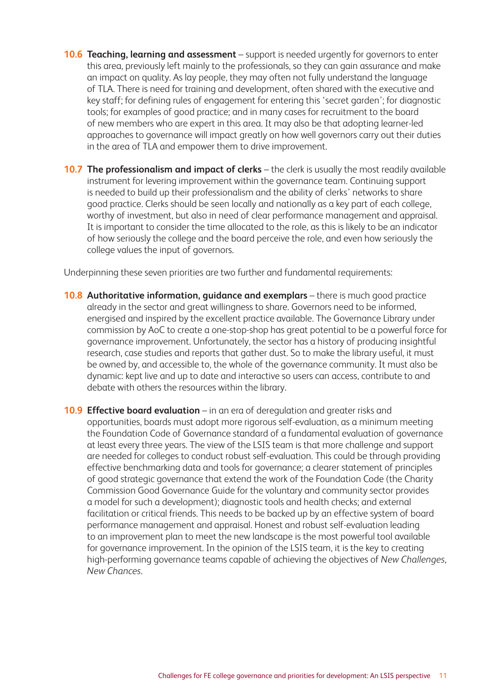- **10.6 Teaching, learning and assessment** support is needed urgently for governors to enter this area, previously left mainly to the professionals, so they can gain assurance and make an impact on quality. As lay people, they may often not fully understand the language of TLA. There is need for training and development, often shared with the executive and key staff; for defining rules of engagement for entering this 'secret garden'; for diagnostic tools; for examples of good practice; and in many cases for recruitment to the board of new members who are expert in this area. It may also be that adopting learner-led approaches to governance will impact greatly on how well governors carry out their duties in the area of TLA and empower them to drive improvement.
- **10.7 The professionalism and impact of clerks** the clerk is usually the most readily available instrument for levering improvement within the governance team. Continuing support is needed to build up their professionalism and the ability of clerks' networks to share good practice. Clerks should be seen locally and nationally as a key part of each college, worthy of investment, but also in need of clear performance management and appraisal. It is important to consider the time allocated to the role, as this is likely to be an indicator of how seriously the college and the board perceive the role, and even how seriously the college values the input of governors.

Underpinning these seven priorities are two further and fundamental requirements:

- **10.8 Authoritative information, guidance and exemplars** there is much good practice already in the sector and great willingness to share. Governors need to be informed, energised and inspired by the excellent practice available. The Governance Library under commission by AoC to create a one-stop-shop has great potential to be a powerful force for governance improvement. Unfortunately, the sector has a history of producing insightful research, case studies and reports that gather dust. So to make the library useful, it must be owned by, and accessible to, the whole of the governance community. It must also be dynamic: kept live and up to date and interactive so users can access, contribute to and debate with others the resources within the library.
- **10.9 Effective board evaluation** in an era of deregulation and greater risks and opportunities, boards must adopt more rigorous self-evaluation, as a minimum meeting the Foundation Code of Governance standard of a fundamental evaluation of governance at least every three years. The view of the LSIS team is that more challenge and support are needed for colleges to conduct robust self-evaluation. This could be through providing effective benchmarking data and tools for governance; a clearer statement of principles of good strategic governance that extend the work of the Foundation Code (the Charity Commission Good Governance Guide for the voluntary and community sector provides a model for such a development); diagnostic tools and health checks; and external facilitation or critical friends. This needs to be backed up by an effective system of board performance management and appraisal. Honest and robust self-evaluation leading to an improvement plan to meet the new landscape is the most powerful tool available for governance improvement. In the opinion of the LSIS team, it is the key to creating high-performing governance teams capable of achieving the objectives of *New Challenges, New Chances*.